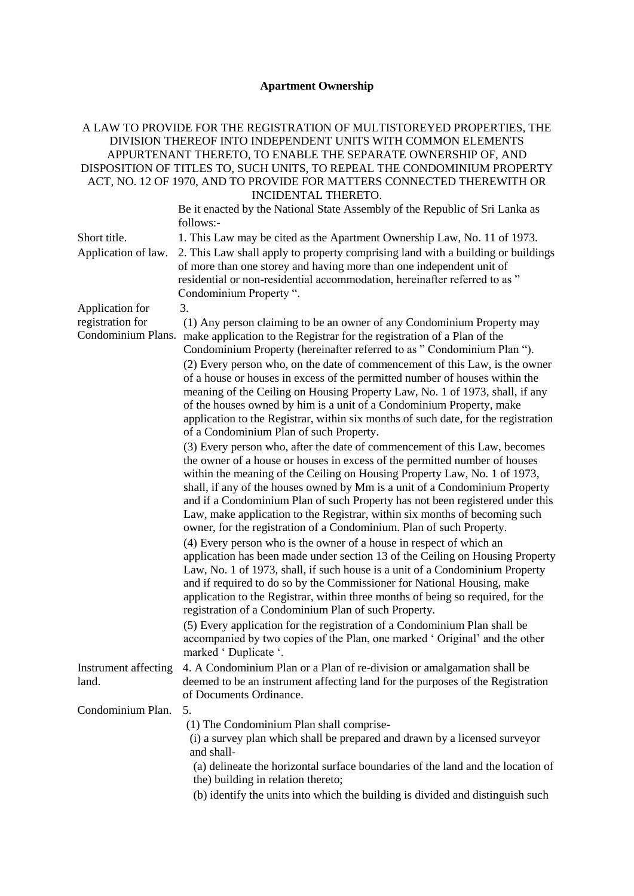## **Apartment Ownership**

## A LAW TO PROVIDE FOR THE REGISTRATION OF MULTISTOREYED PROPERTIES, THE DIVISION THEREOF INTO INDEPENDENT UNITS WITH COMMON ELEMENTS APPURTENANT THERETO, TO ENABLE THE SEPARATE OWNERSHIP OF, AND DISPOSITION OF TITLES TO, SUCH UNITS, TO REPEAL THE CONDOMINIUM PROPERTY ACT, NO. 12 OF 1970, AND TO PROVIDE FOR MATTERS CONNECTED THEREWITH OR INCIDENTAL THERETO.

Be it enacted by the National State Assembly of the Republic of Sri Lanka as follows:-

| Short title.                           | 1. This Law may be cited as the Apartment Ownership Law, No. 11 of 1973.                                                                                                                                                                                                                                                                                                                                                                                                                                                                                                                                                                                                           |
|----------------------------------------|------------------------------------------------------------------------------------------------------------------------------------------------------------------------------------------------------------------------------------------------------------------------------------------------------------------------------------------------------------------------------------------------------------------------------------------------------------------------------------------------------------------------------------------------------------------------------------------------------------------------------------------------------------------------------------|
| Application of law.                    | 2. This Law shall apply to property comprising land with a building or buildings<br>of more than one storey and having more than one independent unit of<br>residential or non-residential accommodation, hereinafter referred to as "<br>Condominium Property ".                                                                                                                                                                                                                                                                                                                                                                                                                  |
| Application for                        | 3.                                                                                                                                                                                                                                                                                                                                                                                                                                                                                                                                                                                                                                                                                 |
| registration for<br>Condominium Plans. | (1) Any person claiming to be an owner of any Condominium Property may<br>make application to the Registrar for the registration of a Plan of the<br>Condominium Property (hereinafter referred to as "Condominium Plan ").<br>(2) Every person who, on the date of commencement of this Law, is the owner<br>of a house or houses in excess of the permitted number of houses within the<br>meaning of the Ceiling on Housing Property Law, No. 1 of 1973, shall, if any<br>of the houses owned by him is a unit of a Condominium Property, make<br>application to the Registrar, within six months of such date, for the registration<br>of a Condominium Plan of such Property. |
|                                        | (3) Every person who, after the date of commencement of this Law, becomes<br>the owner of a house or houses in excess of the permitted number of houses<br>within the meaning of the Ceiling on Housing Property Law, No. 1 of 1973,<br>shall, if any of the houses owned by Mm is a unit of a Condominium Property<br>and if a Condominium Plan of such Property has not been registered under this<br>Law, make application to the Registrar, within six months of becoming such<br>owner, for the registration of a Condominium. Plan of such Property.<br>(4) Every person who is the owner of a house in respect of which an                                                  |
|                                        | application has been made under section 13 of the Ceiling on Housing Property<br>Law, No. 1 of 1973, shall, if such house is a unit of a Condominium Property<br>and if required to do so by the Commissioner for National Housing, make<br>application to the Registrar, within three months of being so required, for the<br>registration of a Condominium Plan of such Property.<br>(5) Every application for the registration of a Condominium Plan shall be<br>accompanied by two copies of the Plan, one marked 'Original' and the other<br>marked 'Duplicate '.                                                                                                             |
| Instrument affecting<br>land.          | 4. A Condominium Plan or a Plan of re-division or amalgamation shall be<br>deemed to be an instrument affecting land for the purposes of the Registration<br>of Documents Ordinance.                                                                                                                                                                                                                                                                                                                                                                                                                                                                                               |
| Condominium Plan.                      | (1) The Condominium Plan shall comprise-<br>(i) a survey plan which shall be prepared and drawn by a licensed surveyor<br>and shall-<br>(a) delineate the horizontal surface boundaries of the land and the location of<br>the) building in relation thereto;<br>(b) identify the units into which the building is divided and distinguish such                                                                                                                                                                                                                                                                                                                                    |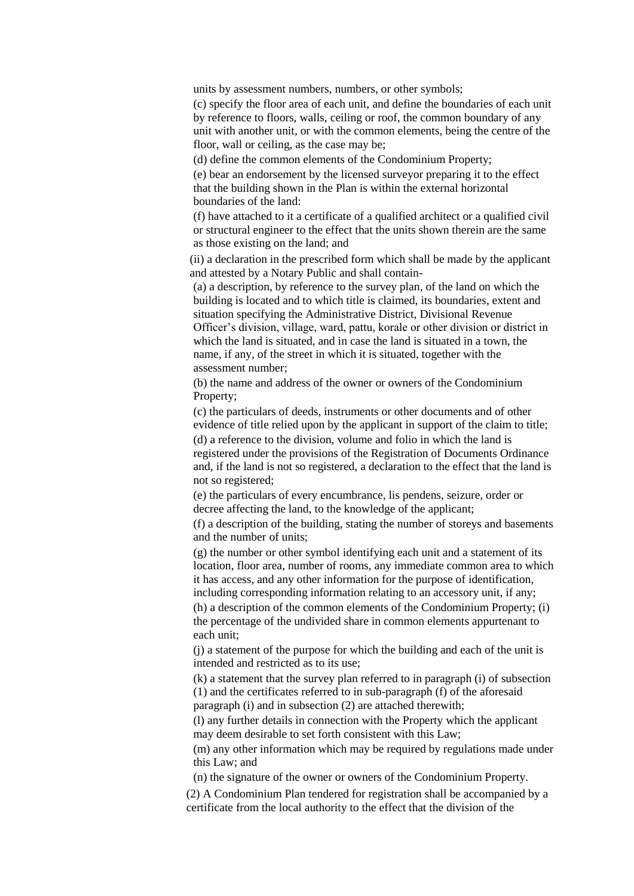units by assessment numbers, numbers, or other symbols;

(c) specify the floor area of each unit, and define the boundaries of each unit by reference to floors, walls, ceiling or roof, the common boundary of any unit with another unit, or with the common elements, being the centre of the floor, wall or ceiling, as the case may be;

(d) define the common elements of the Condominium Property;

(e) bear an endorsement by the licensed surveyor preparing it to the effect that the building shown in the Plan is within the external horizontal boundaries of the land:

(f) have attached to it a certificate of a qualified architect or a qualified civil or structural engineer to the effect that the units shown therein are the same as those existing on the land; and

(ii) a declaration in the prescribed form which shall be made by the applicant and attested by a Notary Public and shall contain-

(a) a description, by reference to the survey plan, of the land on which the building is located and to which title is claimed, its boundaries, extent and situation specifying the Administrative District, Divisional Revenue Officer's division, village, ward, pattu, korale or other division or district in which the land is situated, and in case the land is situated in a town, the name, if any, of the street in which it is situated, together with the assessment number;

(b) the name and address of the owner or owners of the Condominium Property;

(c) the particulars of deeds, instruments or other documents and of other evidence of title relied upon by the applicant in support of the claim to title; (d) a reference to the division, volume and folio in which the land is registered under the provisions of the Registration of Documents Ordinance

and, if the land is not so registered, a declaration to the effect that the land is not so registered;

(e) the particulars of every encumbrance, lis pendens, seizure, order or decree affecting the land, to the knowledge of the applicant;

(f) a description of the building, stating the number of storeys and basements and the number of units;

(g) the number or other symbol identifying each unit and a statement of its location, floor area, number of rooms, any immediate common area to which it has access, and any other information for the purpose of identification, including corresponding information relating to an accessory unit, if any; (h) a description of the common elements of the Condominium Property; (i) the percentage of the undivided share in common elements appurtenant to

each unit; (j) a statement of the purpose for which the building and each of the unit is intended and restricted as to its use;

(k) a statement that the survey plan referred to in paragraph (i) of subsection (1) and the certificates referred to in sub-paragraph (f) of the aforesaid paragraph (i) and in subsection (2) are attached therewith;

(l) any further details in connection with the Property which the applicant may deem desirable to set forth consistent with this Law;

(m) any other information which may be required by regulations made under this Law; and

(n) the signature of the owner or owners of the Condominium Property.

(2) A Condominium Plan tendered for registration shall be accompanied by a certificate from the local authority to the effect that the division of the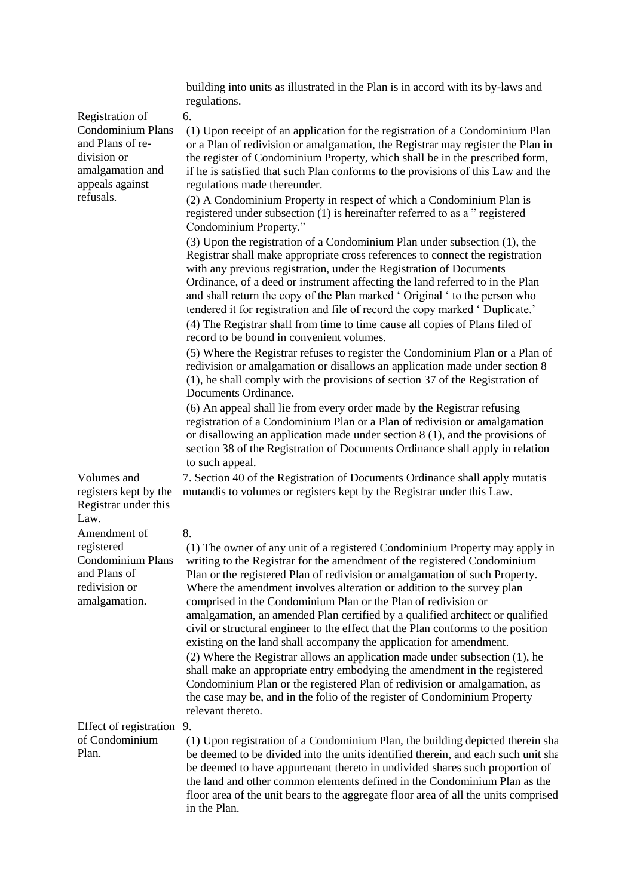|                                                                                                                                    | building into units as illustrated in the Plan is in accord with its by-laws and<br>regulations.                                                                                                                                                                                                                                                                                                                                                                                                                                                                                                                                                                                                                                                                                                                                                                                                                                                                                             |
|------------------------------------------------------------------------------------------------------------------------------------|----------------------------------------------------------------------------------------------------------------------------------------------------------------------------------------------------------------------------------------------------------------------------------------------------------------------------------------------------------------------------------------------------------------------------------------------------------------------------------------------------------------------------------------------------------------------------------------------------------------------------------------------------------------------------------------------------------------------------------------------------------------------------------------------------------------------------------------------------------------------------------------------------------------------------------------------------------------------------------------------|
| Registration of<br><b>Condominium Plans</b><br>and Plans of re-<br>division or<br>amalgamation and<br>appeals against<br>refusals. | 6.<br>(1) Upon receipt of an application for the registration of a Condominium Plan<br>or a Plan of redivision or amalgamation, the Registrar may register the Plan in<br>the register of Condominium Property, which shall be in the prescribed form,<br>if he is satisfied that such Plan conforms to the provisions of this Law and the<br>regulations made thereunder.                                                                                                                                                                                                                                                                                                                                                                                                                                                                                                                                                                                                                   |
|                                                                                                                                    | (2) A Condominium Property in respect of which a Condominium Plan is<br>registered under subsection (1) is hereinafter referred to as a " registered<br>Condominium Property."                                                                                                                                                                                                                                                                                                                                                                                                                                                                                                                                                                                                                                                                                                                                                                                                               |
|                                                                                                                                    | (3) Upon the registration of a Condominium Plan under subsection (1), the<br>Registrar shall make appropriate cross references to connect the registration<br>with any previous registration, under the Registration of Documents<br>Ordinance, of a deed or instrument affecting the land referred to in the Plan<br>and shall return the copy of the Plan marked 'Original ' to the person who<br>tendered it for registration and file of record the copy marked 'Duplicate.'                                                                                                                                                                                                                                                                                                                                                                                                                                                                                                             |
|                                                                                                                                    | (4) The Registrar shall from time to time cause all copies of Plans filed of<br>record to be bound in convenient volumes.                                                                                                                                                                                                                                                                                                                                                                                                                                                                                                                                                                                                                                                                                                                                                                                                                                                                    |
|                                                                                                                                    | (5) Where the Registrar refuses to register the Condominium Plan or a Plan of<br>redivision or amalgamation or disallows an application made under section 8<br>(1), he shall comply with the provisions of section 37 of the Registration of<br>Documents Ordinance.                                                                                                                                                                                                                                                                                                                                                                                                                                                                                                                                                                                                                                                                                                                        |
|                                                                                                                                    | (6) An appeal shall lie from every order made by the Registrar refusing<br>registration of a Condominium Plan or a Plan of redivision or amalgamation<br>or disallowing an application made under section $8(1)$ , and the provisions of<br>section 38 of the Registration of Documents Ordinance shall apply in relation<br>to such appeal.                                                                                                                                                                                                                                                                                                                                                                                                                                                                                                                                                                                                                                                 |
| Volumes and<br>registers kept by the<br>Registrar under this<br>Law.                                                               | 7. Section 40 of the Registration of Documents Ordinance shall apply mutatis<br>mutandis to volumes or registers kept by the Registrar under this Law.                                                                                                                                                                                                                                                                                                                                                                                                                                                                                                                                                                                                                                                                                                                                                                                                                                       |
| Amendment of                                                                                                                       | 8.                                                                                                                                                                                                                                                                                                                                                                                                                                                                                                                                                                                                                                                                                                                                                                                                                                                                                                                                                                                           |
| registered<br>and Plans of<br>redivision or<br>amalgamation.                                                                       | (1) The owner of any unit of a registered Condominium Property may apply in<br>Condominium Plans writing to the Registrar for the amendment of the registered Condominium<br>Plan or the registered Plan of redivision or amalgamation of such Property.<br>Where the amendment involves alteration or addition to the survey plan<br>comprised in the Condominium Plan or the Plan of redivision or<br>amalgamation, an amended Plan certified by a qualified architect or qualified<br>civil or structural engineer to the effect that the Plan conforms to the position<br>existing on the land shall accompany the application for amendment.<br>(2) Where the Registrar allows an application made under subsection (1), he<br>shall make an appropriate entry embodying the amendment in the registered<br>Condominium Plan or the registered Plan of redivision or amalgamation, as<br>the case may be, and in the folio of the register of Condominium Property<br>relevant thereto. |
| Effect of registration 9.<br>of Condominium<br>Plan.                                                                               | (1) Upon registration of a Condominium Plan, the building depicted therein sha<br>be deemed to be divided into the units identified therein, and each such unit sha<br>be deemed to have appurtenant thereto in undivided shares such proportion of<br>the land and other common elements defined in the Condominium Plan as the<br>floor area of the unit bears to the aggregate floor area of all the units comprised<br>in the Plan.                                                                                                                                                                                                                                                                                                                                                                                                                                                                                                                                                      |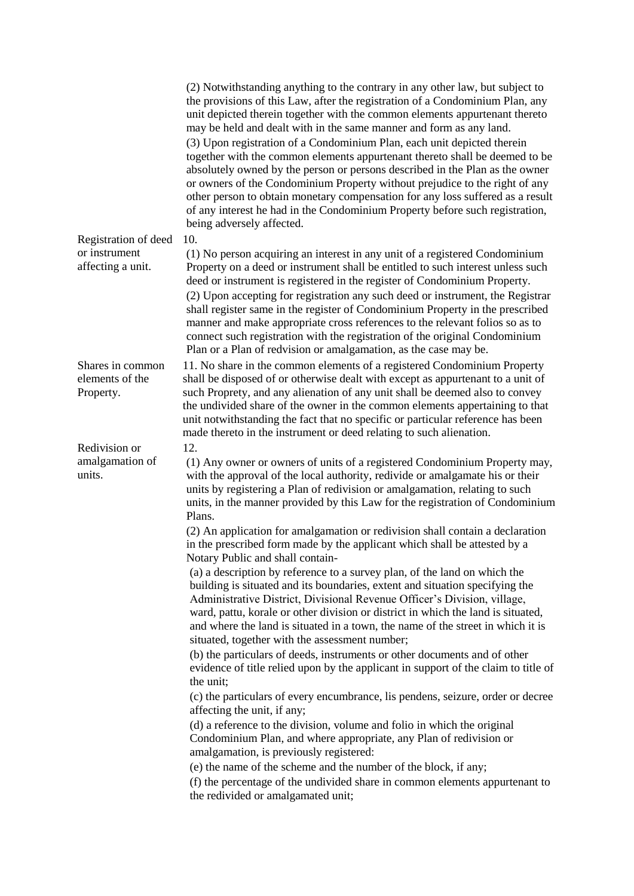|                                    | (2) Notwithstanding anything to the contrary in any other law, but subject to<br>the provisions of this Law, after the registration of a Condominium Plan, any<br>unit depicted therein together with the common elements appurtenant thereto<br>may be held and dealt with in the same manner and form as any land.<br>(3) Upon registration of a Condominium Plan, each unit depicted therein<br>together with the common elements appurtenant thereto shall be deemed to be<br>absolutely owned by the person or persons described in the Plan as the owner<br>or owners of the Condominium Property without prejudice to the right of any<br>other person to obtain monetary compensation for any loss suffered as a result<br>of any interest he had in the Condominium Property before such registration,<br>being adversely affected. |
|------------------------------------|----------------------------------------------------------------------------------------------------------------------------------------------------------------------------------------------------------------------------------------------------------------------------------------------------------------------------------------------------------------------------------------------------------------------------------------------------------------------------------------------------------------------------------------------------------------------------------------------------------------------------------------------------------------------------------------------------------------------------------------------------------------------------------------------------------------------------------------------|
| Registration of deed               | 10.                                                                                                                                                                                                                                                                                                                                                                                                                                                                                                                                                                                                                                                                                                                                                                                                                                          |
| or instrument<br>affecting a unit. | (1) No person acquiring an interest in any unit of a registered Condominium<br>Property on a deed or instrument shall be entitled to such interest unless such<br>deed or instrument is registered in the register of Condominium Property.<br>(2) Upon accepting for registration any such deed or instrument, the Registrar<br>shall register same in the register of Condominium Property in the prescribed<br>manner and make appropriate cross references to the relevant folios so as to                                                                                                                                                                                                                                                                                                                                               |
|                                    | connect such registration with the registration of the original Condominium                                                                                                                                                                                                                                                                                                                                                                                                                                                                                                                                                                                                                                                                                                                                                                  |
| Shares in common                   | Plan or a Plan of redvision or amalgamation, as the case may be.<br>11. No share in the common elements of a registered Condominium Property                                                                                                                                                                                                                                                                                                                                                                                                                                                                                                                                                                                                                                                                                                 |
| elements of the<br>Property.       | shall be disposed of or otherwise dealt with except as appurtenant to a unit of<br>such Proprety, and any alienation of any unit shall be deemed also to convey<br>the undivided share of the owner in the common elements appertaining to that<br>unit notwithstanding the fact that no specific or particular reference has been<br>made thereto in the instrument or deed relating to such alienation.                                                                                                                                                                                                                                                                                                                                                                                                                                    |
| Redivision or                      | 12.                                                                                                                                                                                                                                                                                                                                                                                                                                                                                                                                                                                                                                                                                                                                                                                                                                          |
| amalgamation of<br>units.          | (1) Any owner or owners of units of a registered Condominium Property may,<br>with the approval of the local authority, redivide or amalgamate his or their<br>units by registering a Plan of redivision or amalgamation, relating to such<br>units, in the manner provided by this Law for the registration of Condominium<br>Plans.                                                                                                                                                                                                                                                                                                                                                                                                                                                                                                        |
|                                    | (2) An application for amalgamation or redivision shall contain a declaration<br>in the prescribed form made by the applicant which shall be attested by a<br>Notary Public and shall contain-                                                                                                                                                                                                                                                                                                                                                                                                                                                                                                                                                                                                                                               |
|                                    | (a) a description by reference to a survey plan, of the land on which the<br>building is situated and its boundaries, extent and situation specifying the<br>Administrative District, Divisional Revenue Officer's Division, village,<br>ward, pattu, korale or other division or district in which the land is situated,<br>and where the land is situated in a town, the name of the street in which it is<br>situated, together with the assessment number;                                                                                                                                                                                                                                                                                                                                                                               |
|                                    | (b) the particulars of deeds, instruments or other documents and of other<br>evidence of title relied upon by the applicant in support of the claim to title of<br>the unit;                                                                                                                                                                                                                                                                                                                                                                                                                                                                                                                                                                                                                                                                 |
|                                    | (c) the particulars of every encumbrance, lis pendens, seizure, order or decree<br>affecting the unit, if any;                                                                                                                                                                                                                                                                                                                                                                                                                                                                                                                                                                                                                                                                                                                               |
|                                    | (d) a reference to the division, volume and folio in which the original<br>Condominium Plan, and where appropriate, any Plan of redivision or<br>amalgamation, is previously registered:<br>(e) the name of the scheme and the number of the block, if any;                                                                                                                                                                                                                                                                                                                                                                                                                                                                                                                                                                                  |
|                                    | (f) the percentage of the undivided share in common elements appurtenant to                                                                                                                                                                                                                                                                                                                                                                                                                                                                                                                                                                                                                                                                                                                                                                  |
|                                    | the redivided or amalgamated unit;                                                                                                                                                                                                                                                                                                                                                                                                                                                                                                                                                                                                                                                                                                                                                                                                           |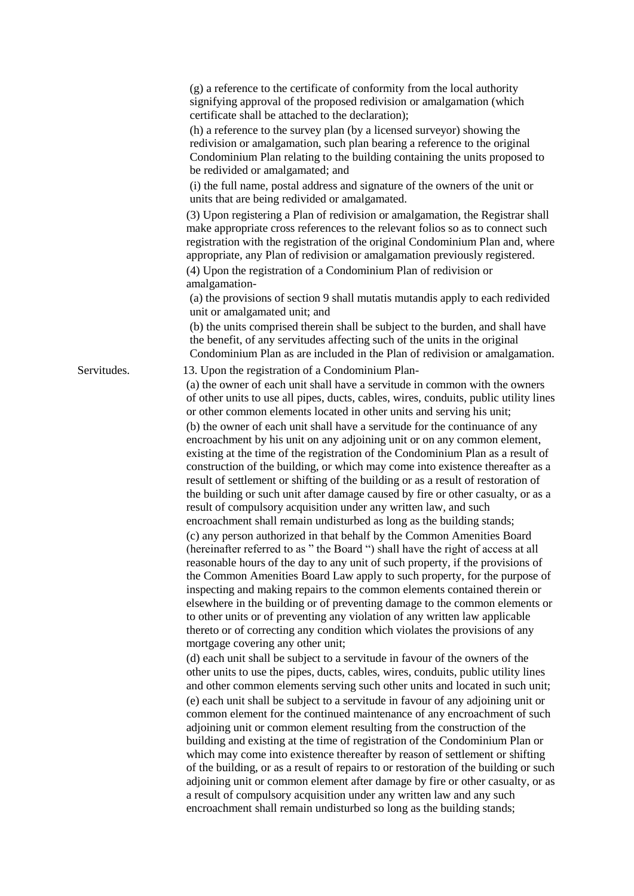|             | (g) a reference to the certificate of conformity from the local authority<br>signifying approval of the proposed redivision or amalgamation (which<br>certificate shall be attached to the declaration);                                                                                                                                                                                                                                                                                                                                                                                                                                                                                                                                                                                                                                                                                                                                                                                  |
|-------------|-------------------------------------------------------------------------------------------------------------------------------------------------------------------------------------------------------------------------------------------------------------------------------------------------------------------------------------------------------------------------------------------------------------------------------------------------------------------------------------------------------------------------------------------------------------------------------------------------------------------------------------------------------------------------------------------------------------------------------------------------------------------------------------------------------------------------------------------------------------------------------------------------------------------------------------------------------------------------------------------|
|             | (h) a reference to the survey plan (by a licensed survey or) showing the<br>redivision or amalgamation, such plan bearing a reference to the original<br>Condominium Plan relating to the building containing the units proposed to<br>be redivided or amalgamated; and                                                                                                                                                                                                                                                                                                                                                                                                                                                                                                                                                                                                                                                                                                                   |
|             | (i) the full name, postal address and signature of the owners of the unit or<br>units that are being redivided or amalgamated.                                                                                                                                                                                                                                                                                                                                                                                                                                                                                                                                                                                                                                                                                                                                                                                                                                                            |
|             | (3) Upon registering a Plan of redivision or amalgamation, the Registrar shall<br>make appropriate cross references to the relevant folios so as to connect such<br>registration with the registration of the original Condominium Plan and, where<br>appropriate, any Plan of redivision or amalgamation previously registered.<br>(4) Upon the registration of a Condominium Plan of redivision or<br>amalgamation-                                                                                                                                                                                                                                                                                                                                                                                                                                                                                                                                                                     |
|             | (a) the provisions of section 9 shall mutatis mutandis apply to each redivided<br>unit or amalgamated unit; and                                                                                                                                                                                                                                                                                                                                                                                                                                                                                                                                                                                                                                                                                                                                                                                                                                                                           |
|             | (b) the units comprised therein shall be subject to the burden, and shall have<br>the benefit, of any servitudes affecting such of the units in the original<br>Condominium Plan as are included in the Plan of redivision or amalgamation.                                                                                                                                                                                                                                                                                                                                                                                                                                                                                                                                                                                                                                                                                                                                               |
| Servitudes. | 13. Upon the registration of a Condominium Plan-<br>(a) the owner of each unit shall have a servitude in common with the owners<br>of other units to use all pipes, ducts, cables, wires, conduits, public utility lines<br>or other common elements located in other units and serving his unit;                                                                                                                                                                                                                                                                                                                                                                                                                                                                                                                                                                                                                                                                                         |
|             | (b) the owner of each unit shall have a servitude for the continuance of any<br>encroachment by his unit on any adjoining unit or on any common element,<br>existing at the time of the registration of the Condominium Plan as a result of<br>construction of the building, or which may come into existence thereafter as a<br>result of settlement or shifting of the building or as a result of restoration of<br>the building or such unit after damage caused by fire or other casualty, or as a<br>result of compulsory acquisition under any written law, and such<br>encroachment shall remain undisturbed as long as the building stands;                                                                                                                                                                                                                                                                                                                                       |
|             | (c) any person authorized in that behalf by the Common Amenities Board<br>(hereinafter referred to as " the Board ") shall have the right of access at all<br>reasonable hours of the day to any unit of such property, if the provisions of<br>the Common Amenities Board Law apply to such property, for the purpose of<br>inspecting and making repairs to the common elements contained therein or<br>elsewhere in the building or of preventing damage to the common elements or<br>to other units or of preventing any violation of any written law applicable<br>thereto or of correcting any condition which violates the provisions of any<br>mortgage covering any other unit;                                                                                                                                                                                                                                                                                                  |
|             | (d) each unit shall be subject to a servitude in favour of the owners of the<br>other units to use the pipes, ducts, cables, wires, conduits, public utility lines<br>and other common elements serving such other units and located in such unit;<br>(e) each unit shall be subject to a servitude in favour of any adjoining unit or<br>common element for the continued maintenance of any encroachment of such<br>adjoining unit or common element resulting from the construction of the<br>building and existing at the time of registration of the Condominium Plan or<br>which may come into existence thereafter by reason of settlement or shifting<br>of the building, or as a result of repairs to or restoration of the building or such<br>adjoining unit or common element after damage by fire or other casualty, or as<br>a result of compulsory acquisition under any written law and any such<br>encroachment shall remain undisturbed so long as the building stands; |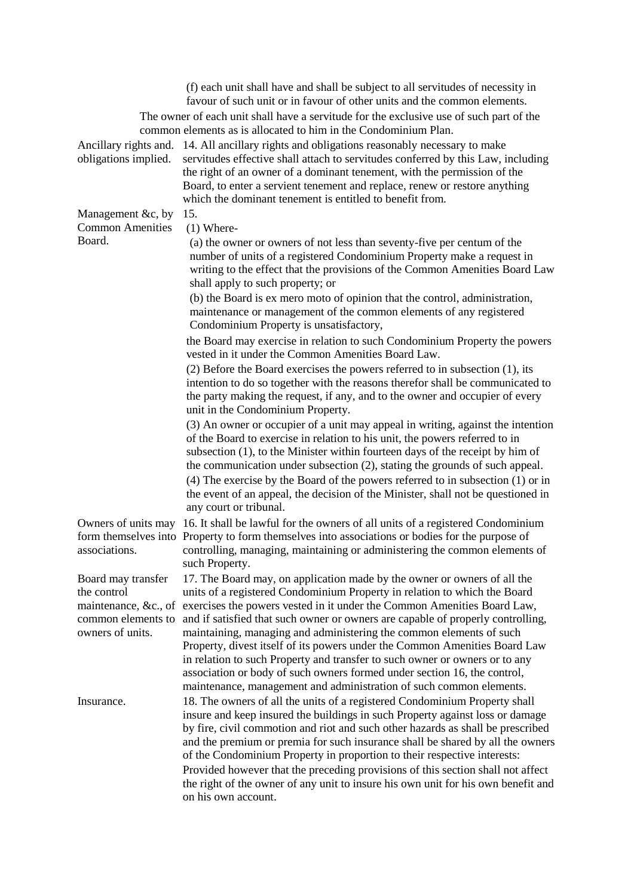|                                                                                                     | (f) each unit shall have and shall be subject to all servitudes of necessity in<br>favour of such unit or in favour of other units and the common elements.<br>The owner of each unit shall have a servitude for the exclusive use of such part of the                                                                                                                                                                                                                                                                                                                                                                                                                                                     |
|-----------------------------------------------------------------------------------------------------|------------------------------------------------------------------------------------------------------------------------------------------------------------------------------------------------------------------------------------------------------------------------------------------------------------------------------------------------------------------------------------------------------------------------------------------------------------------------------------------------------------------------------------------------------------------------------------------------------------------------------------------------------------------------------------------------------------|
| Ancillary rights and.<br>obligations implied.                                                       | common elements as is allocated to him in the Condominium Plan.<br>14. All ancillary rights and obligations reasonably necessary to make<br>servitudes effective shall attach to servitudes conferred by this Law, including<br>the right of an owner of a dominant tenement, with the permission of the<br>Board, to enter a servient tenement and replace, renew or restore anything<br>which the dominant tenement is entitled to benefit from.                                                                                                                                                                                                                                                         |
| Management &c, by<br><b>Common Amenities</b><br>Board.                                              | 15.<br>$(1)$ Where-<br>(a) the owner or owners of not less than seventy-five per centum of the<br>number of units of a registered Condominium Property make a request in<br>writing to the effect that the provisions of the Common Amenities Board Law<br>shall apply to such property; or<br>(b) the Board is ex mero moto of opinion that the control, administration,<br>maintenance or management of the common elements of any registered<br>Condominium Property is unsatisfactory,                                                                                                                                                                                                                 |
|                                                                                                     | the Board may exercise in relation to such Condominium Property the powers<br>vested in it under the Common Amenities Board Law.<br>$(2)$ Before the Board exercises the powers referred to in subsection $(1)$ , its<br>intention to do so together with the reasons therefor shall be communicated to<br>the party making the request, if any, and to the owner and occupier of every<br>unit in the Condominium Property.                                                                                                                                                                                                                                                                               |
|                                                                                                     | (3) An owner or occupier of a unit may appeal in writing, against the intention<br>of the Board to exercise in relation to his unit, the powers referred to in<br>subsection $(1)$ , to the Minister within fourteen days of the receipt by him of<br>the communication under subsection (2), stating the grounds of such appeal.<br>(4) The exercise by the Board of the powers referred to in subsection (1) or in<br>the event of an appeal, the decision of the Minister, shall not be questioned in<br>any court or tribunal.                                                                                                                                                                         |
| Owners of units may<br>associations.                                                                | 16. It shall be lawful for the owners of all units of a registered Condominium<br>form themselves into Property to form themselves into associations or bodies for the purpose of<br>controlling, managing, maintaining or administering the common elements of<br>such Property.                                                                                                                                                                                                                                                                                                                                                                                                                          |
| Board may transfer<br>the control<br>maintenance, &c., of<br>common elements to<br>owners of units. | 17. The Board may, on application made by the owner or owners of all the<br>units of a registered Condominium Property in relation to which the Board<br>exercises the powers vested in it under the Common Amenities Board Law,<br>and if satisfied that such owner or owners are capable of properly controlling,<br>maintaining, managing and administering the common elements of such<br>Property, divest itself of its powers under the Common Amenities Board Law<br>in relation to such Property and transfer to such owner or owners or to any<br>association or body of such owners formed under section 16, the control,<br>maintenance, management and administration of such common elements. |
| Insurance.                                                                                          | 18. The owners of all the units of a registered Condominium Property shall<br>insure and keep insured the buildings in such Property against loss or damage<br>by fire, civil commotion and riot and such other hazards as shall be prescribed<br>and the premium or premia for such insurance shall be shared by all the owners<br>of the Condominium Property in proportion to their respective interests:<br>Provided however that the preceding provisions of this section shall not affect<br>the right of the owner of any unit to insure his own unit for his own benefit and<br>on his own account.                                                                                                |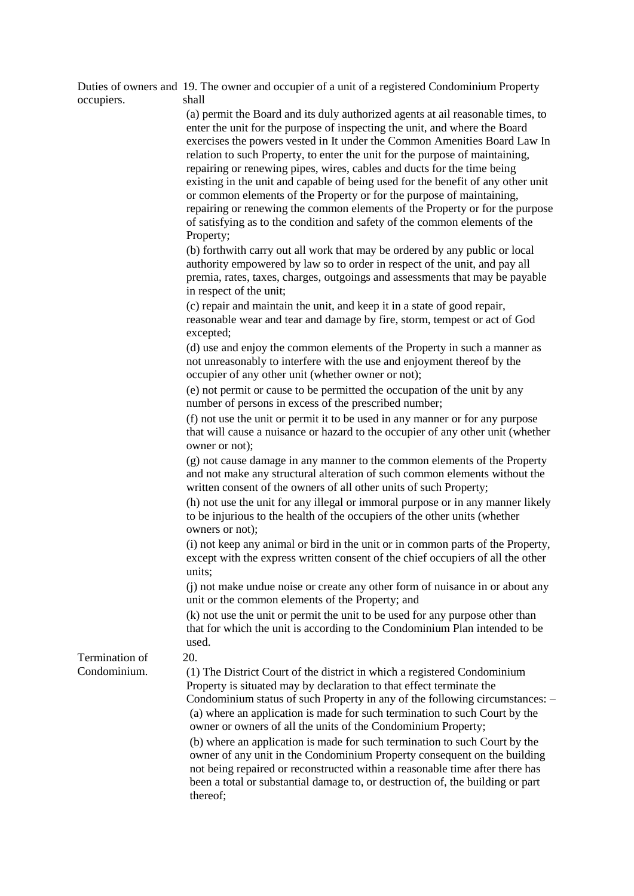| occupiers.     | Duties of owners and 19. The owner and occupier of a unit of a registered Condominium Property<br>shall                                                                                                                                                                                                                                                                                                                                                                                                                                                                                                                                                                                                                                                                                                                                                                                                                                                                                                               |
|----------------|-----------------------------------------------------------------------------------------------------------------------------------------------------------------------------------------------------------------------------------------------------------------------------------------------------------------------------------------------------------------------------------------------------------------------------------------------------------------------------------------------------------------------------------------------------------------------------------------------------------------------------------------------------------------------------------------------------------------------------------------------------------------------------------------------------------------------------------------------------------------------------------------------------------------------------------------------------------------------------------------------------------------------|
|                | (a) permit the Board and its duly authorized agents at ail reasonable times, to<br>enter the unit for the purpose of inspecting the unit, and where the Board<br>exercises the powers vested in It under the Common Amenities Board Law In<br>relation to such Property, to enter the unit for the purpose of maintaining,<br>repairing or renewing pipes, wires, cables and ducts for the time being<br>existing in the unit and capable of being used for the benefit of any other unit<br>or common elements of the Property or for the purpose of maintaining,<br>repairing or renewing the common elements of the Property or for the purpose<br>of satisfying as to the condition and safety of the common elements of the<br>Property;<br>(b) forthwith carry out all work that may be ordered by any public or local<br>authority empowered by law so to order in respect of the unit, and pay all<br>premia, rates, taxes, charges, outgoings and assessments that may be payable<br>in respect of the unit; |
|                | (c) repair and maintain the unit, and keep it in a state of good repair,<br>reasonable wear and tear and damage by fire, storm, tempest or act of God<br>excepted;                                                                                                                                                                                                                                                                                                                                                                                                                                                                                                                                                                                                                                                                                                                                                                                                                                                    |
|                | (d) use and enjoy the common elements of the Property in such a manner as<br>not unreasonably to interfere with the use and enjoyment thereof by the<br>occupier of any other unit (whether owner or not);                                                                                                                                                                                                                                                                                                                                                                                                                                                                                                                                                                                                                                                                                                                                                                                                            |
|                | (e) not permit or cause to be permitted the occupation of the unit by any<br>number of persons in excess of the prescribed number;                                                                                                                                                                                                                                                                                                                                                                                                                                                                                                                                                                                                                                                                                                                                                                                                                                                                                    |
|                | (f) not use the unit or permit it to be used in any manner or for any purpose<br>that will cause a nuisance or hazard to the occupier of any other unit (whether<br>owner or not);                                                                                                                                                                                                                                                                                                                                                                                                                                                                                                                                                                                                                                                                                                                                                                                                                                    |
|                | (g) not cause damage in any manner to the common elements of the Property<br>and not make any structural alteration of such common elements without the<br>written consent of the owners of all other units of such Property;                                                                                                                                                                                                                                                                                                                                                                                                                                                                                                                                                                                                                                                                                                                                                                                         |
|                | (h) not use the unit for any illegal or immoral purpose or in any manner likely<br>to be injurious to the health of the occupiers of the other units (whether<br>owners or not);                                                                                                                                                                                                                                                                                                                                                                                                                                                                                                                                                                                                                                                                                                                                                                                                                                      |
|                | (i) not keep any animal or bird in the unit or in common parts of the Property,<br>except with the express written consent of the chief occupiers of all the other<br>units;                                                                                                                                                                                                                                                                                                                                                                                                                                                                                                                                                                                                                                                                                                                                                                                                                                          |
|                | (j) not make undue noise or create any other form of nuisance in or about any<br>unit or the common elements of the Property; and                                                                                                                                                                                                                                                                                                                                                                                                                                                                                                                                                                                                                                                                                                                                                                                                                                                                                     |
|                | (k) not use the unit or permit the unit to be used for any purpose other than<br>that for which the unit is according to the Condominium Plan intended to be<br>used.                                                                                                                                                                                                                                                                                                                                                                                                                                                                                                                                                                                                                                                                                                                                                                                                                                                 |
| Termination of | 20.                                                                                                                                                                                                                                                                                                                                                                                                                                                                                                                                                                                                                                                                                                                                                                                                                                                                                                                                                                                                                   |
| Condominium.   | (1) The District Court of the district in which a registered Condominium<br>Property is situated may by declaration to that effect terminate the<br>Condominium status of such Property in any of the following circumstances: -<br>(a) where an application is made for such termination to such Court by the<br>owner or owners of all the units of the Condominium Property;                                                                                                                                                                                                                                                                                                                                                                                                                                                                                                                                                                                                                                       |
|                | (b) where an application is made for such termination to such Court by the<br>owner of any unit in the Condominium Property consequent on the building<br>not being repaired or reconstructed within a reasonable time after there has<br>been a total or substantial damage to, or destruction of, the building or part<br>thereof;                                                                                                                                                                                                                                                                                                                                                                                                                                                                                                                                                                                                                                                                                  |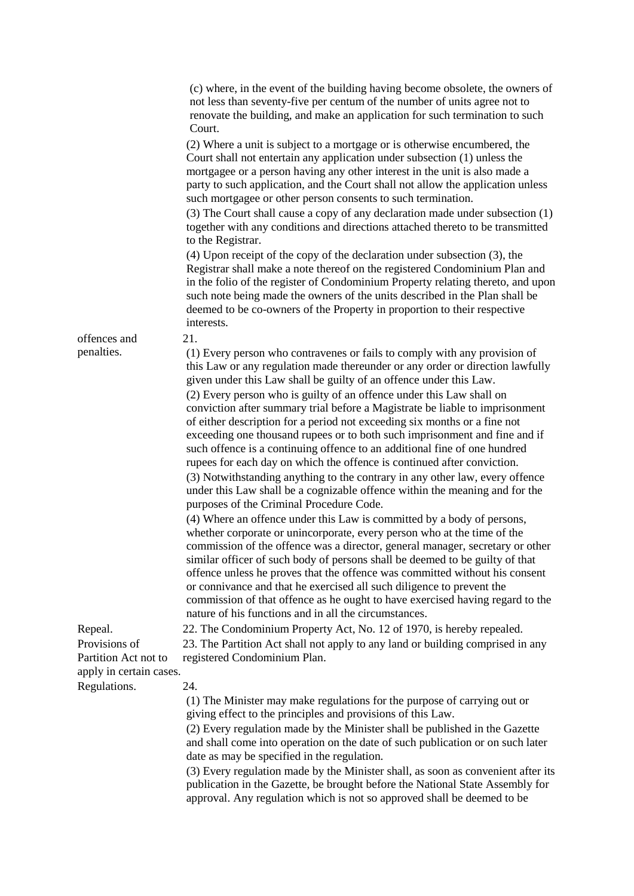|                                                                  | (c) where, in the event of the building having become obsolete, the owners of<br>not less than seventy-five per centum of the number of units agree not to<br>renovate the building, and make an application for such termination to such<br>Court.                                                                                                                                                                                                                                                                                                                                                                  |
|------------------------------------------------------------------|----------------------------------------------------------------------------------------------------------------------------------------------------------------------------------------------------------------------------------------------------------------------------------------------------------------------------------------------------------------------------------------------------------------------------------------------------------------------------------------------------------------------------------------------------------------------------------------------------------------------|
|                                                                  | (2) Where a unit is subject to a mortgage or is otherwise encumbered, the<br>Court shall not entertain any application under subsection (1) unless the<br>mortgagee or a person having any other interest in the unit is also made a<br>party to such application, and the Court shall not allow the application unless<br>such mortgagee or other person consents to such termination.                                                                                                                                                                                                                              |
|                                                                  | (3) The Court shall cause a copy of any declaration made under subsection (1)<br>together with any conditions and directions attached thereto to be transmitted<br>to the Registrar.                                                                                                                                                                                                                                                                                                                                                                                                                                 |
|                                                                  | $(4)$ Upon receipt of the copy of the declaration under subsection $(3)$ , the<br>Registrar shall make a note thereof on the registered Condominium Plan and<br>in the folio of the register of Condominium Property relating thereto, and upon<br>such note being made the owners of the units described in the Plan shall be<br>deemed to be co-owners of the Property in proportion to their respective<br>interests.                                                                                                                                                                                             |
| offences and                                                     | 21.                                                                                                                                                                                                                                                                                                                                                                                                                                                                                                                                                                                                                  |
| penalties.                                                       | (1) Every person who contravenes or fails to comply with any provision of<br>this Law or any regulation made thereunder or any order or direction lawfully<br>given under this Law shall be guilty of an offence under this Law.                                                                                                                                                                                                                                                                                                                                                                                     |
|                                                                  | (2) Every person who is guilty of an offence under this Law shall on<br>conviction after summary trial before a Magistrate be liable to imprisonment<br>of either description for a period not exceeding six months or a fine not<br>exceeding one thousand rupees or to both such imprisonment and fine and if<br>such offence is a continuing offence to an additional fine of one hundred<br>rupees for each day on which the offence is continued after conviction.                                                                                                                                              |
|                                                                  | (3) Notwithstanding anything to the contrary in any other law, every offence<br>under this Law shall be a cognizable offence within the meaning and for the<br>purposes of the Criminal Procedure Code.                                                                                                                                                                                                                                                                                                                                                                                                              |
|                                                                  | (4) Where an offence under this Law is committed by a body of persons,<br>whether corporate or unincorporate, every person who at the time of the<br>commission of the offence was a director, general manager, secretary or other<br>similar officer of such body of persons shall be deemed to be guilty of that<br>offence unless he proves that the offence was committed without his consent<br>or connivance and that he exercised all such diligence to prevent the<br>commission of that offence as he ought to have exercised having regard to the<br>nature of his functions and in all the circumstances. |
| Repeal.                                                          | 22. The Condominium Property Act, No. 12 of 1970, is hereby repealed.                                                                                                                                                                                                                                                                                                                                                                                                                                                                                                                                                |
| Provisions of<br>Partition Act not to<br>apply in certain cases. | 23. The Partition Act shall not apply to any land or building comprised in any<br>registered Condominium Plan.                                                                                                                                                                                                                                                                                                                                                                                                                                                                                                       |
| Regulations.                                                     | 24.                                                                                                                                                                                                                                                                                                                                                                                                                                                                                                                                                                                                                  |
|                                                                  | (1) The Minister may make regulations for the purpose of carrying out or<br>giving effect to the principles and provisions of this Law.                                                                                                                                                                                                                                                                                                                                                                                                                                                                              |
|                                                                  | (2) Every regulation made by the Minister shall be published in the Gazette<br>and shall come into operation on the date of such publication or on such later<br>date as may be specified in the regulation.                                                                                                                                                                                                                                                                                                                                                                                                         |
|                                                                  | (3) Every regulation made by the Minister shall, as soon as convenient after its<br>publication in the Gazette, be brought before the National State Assembly for<br>approval. Any regulation which is not so approved shall be deemed to be                                                                                                                                                                                                                                                                                                                                                                         |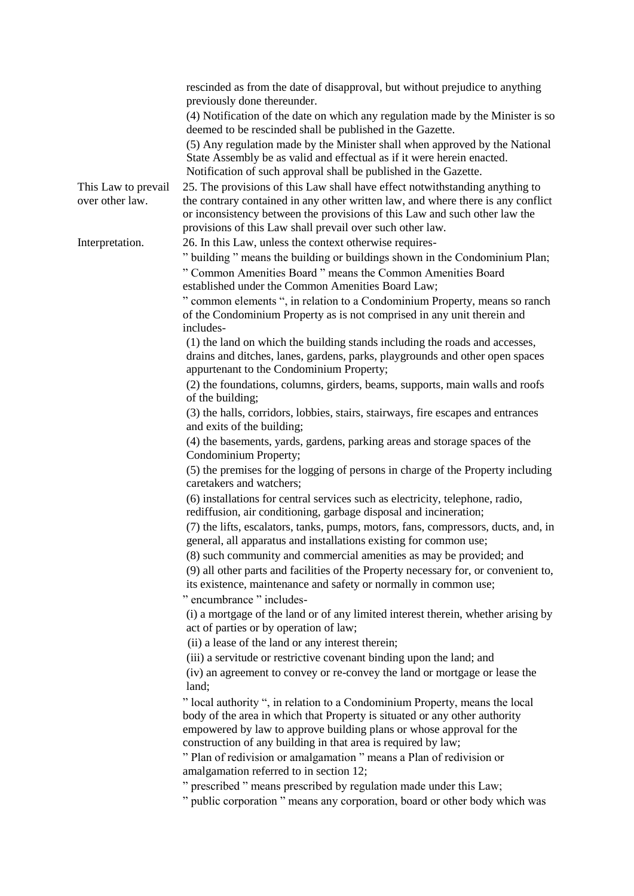|                                        | rescinded as from the date of disapproval, but without prejudice to anything<br>previously done thereunder.<br>(4) Notification of the date on which any regulation made by the Minister is so                                                                                                              |
|----------------------------------------|-------------------------------------------------------------------------------------------------------------------------------------------------------------------------------------------------------------------------------------------------------------------------------------------------------------|
|                                        | deemed to be rescinded shall be published in the Gazette.                                                                                                                                                                                                                                                   |
|                                        | (5) Any regulation made by the Minister shall when approved by the National<br>State Assembly be as valid and effectual as if it were herein enacted.<br>Notification of such approval shall be published in the Gazette.                                                                                   |
| This Law to prevail<br>over other law. | 25. The provisions of this Law shall have effect notwithstanding anything to<br>the contrary contained in any other written law, and where there is any conflict<br>or inconsistency between the provisions of this Law and such other law the<br>provisions of this Law shall prevail over such other law. |
| Interpretation.                        | 26. In this Law, unless the context otherwise requires-<br>" building " means the building or buildings shown in the Condominium Plan;<br>" Common Amenities Board " means the Common Amenities Board<br>established under the Common Amenities Board Law;                                                  |
|                                        | " common elements ", in relation to a Condominium Property, means so ranch<br>of the Condominium Property as is not comprised in any unit therein and<br>includes-                                                                                                                                          |
|                                        | (1) the land on which the building stands including the roads and accesses,<br>drains and ditches, lanes, gardens, parks, playgrounds and other open spaces<br>appurtenant to the Condominium Property;                                                                                                     |
|                                        | (2) the foundations, columns, girders, beams, supports, main walls and roofs<br>of the building;                                                                                                                                                                                                            |
|                                        | (3) the halls, corridors, lobbies, stairs, stairways, fire escapes and entrances<br>and exits of the building;                                                                                                                                                                                              |
|                                        | (4) the basements, yards, gardens, parking areas and storage spaces of the<br>Condominium Property;                                                                                                                                                                                                         |
|                                        | (5) the premises for the logging of persons in charge of the Property including<br>caretakers and watchers;                                                                                                                                                                                                 |
|                                        | (6) installations for central services such as electricity, telephone, radio,<br>rediffusion, air conditioning, garbage disposal and incineration;                                                                                                                                                          |
|                                        | (7) the lifts, escalators, tanks, pumps, motors, fans, compressors, ducts, and, in<br>general, all apparatus and installations existing for common use;<br>(8) such community and commercial amenities as may be provided; and                                                                              |
|                                        | (9) all other parts and facilities of the Property necessary for, or convenient to,<br>its existence, maintenance and safety or normally in common use;                                                                                                                                                     |
|                                        | " encumbrance " includes-<br>(i) a mortgage of the land or of any limited interest therein, whether arising by<br>act of parties or by operation of law;                                                                                                                                                    |
|                                        | (ii) a lease of the land or any interest therein;                                                                                                                                                                                                                                                           |
|                                        | (iii) a servitude or restrictive covenant binding upon the land; and<br>(iv) an agreement to convey or re-convey the land or mortgage or lease the                                                                                                                                                          |
|                                        | land;<br>" local authority ", in relation to a Condominium Property, means the local<br>body of the area in which that Property is situated or any other authority<br>empowered by law to approve building plans or whose approval for the<br>construction of any building in that area is required by law; |
|                                        | " Plan of redivision or amalgamation " means a Plan of redivision or<br>amalgamation referred to in section 12;                                                                                                                                                                                             |
|                                        | " prescribed " means prescribed by regulation made under this Law;<br>" public corporation " means any corporation, board or other body which was                                                                                                                                                           |
|                                        |                                                                                                                                                                                                                                                                                                             |